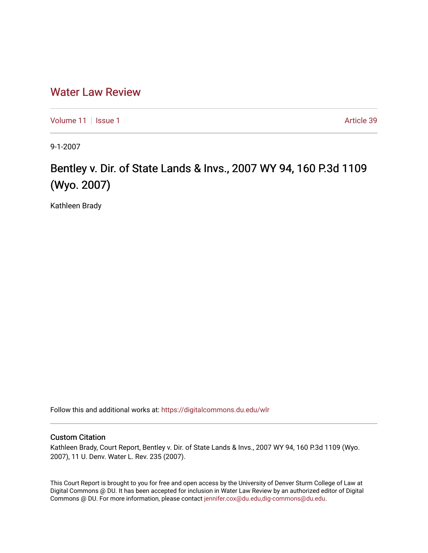## [Water Law Review](https://digitalcommons.du.edu/wlr)

[Volume 11](https://digitalcommons.du.edu/wlr/vol11) | [Issue 1](https://digitalcommons.du.edu/wlr/vol11/iss1) Article 39

9-1-2007

## Bentley v. Dir. of State Lands & Invs., 2007 WY 94, 160 P.3d 1109 (Wyo. 2007)

Kathleen Brady

Follow this and additional works at: [https://digitalcommons.du.edu/wlr](https://digitalcommons.du.edu/wlr?utm_source=digitalcommons.du.edu%2Fwlr%2Fvol11%2Fiss1%2F39&utm_medium=PDF&utm_campaign=PDFCoverPages) 

## Custom Citation

Kathleen Brady, Court Report, Bentley v. Dir. of State Lands & Invs., 2007 WY 94, 160 P.3d 1109 (Wyo. 2007), 11 U. Denv. Water L. Rev. 235 (2007).

This Court Report is brought to you for free and open access by the University of Denver Sturm College of Law at Digital Commons @ DU. It has been accepted for inclusion in Water Law Review by an authorized editor of Digital Commons @ DU. For more information, please contact [jennifer.cox@du.edu,dig-commons@du.edu.](mailto:jennifer.cox@du.edu,dig-commons@du.edu)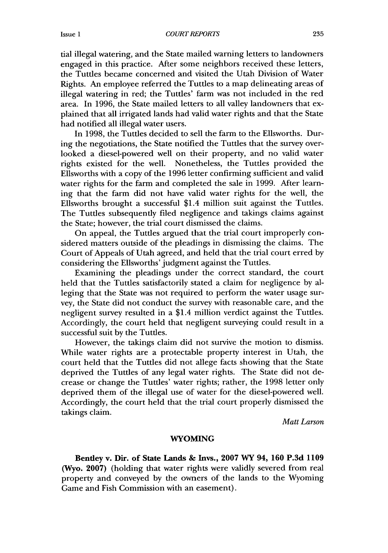tial illegal watering, and the State mailed warning letters to landowners engaged in this practice. After some neighbors received these letters, the Tuttles became concerned and visited the Utah Division of Water Rights. An employee referred the Tuttles to a map delineating areas of illegal watering in red; the Tuttles' farm was not included in the red area. In 1996, the State mailed letters to all valley landowners that explained that all irrigated lands had valid water rights and that the State had notified all illegal water users.

In 1998, the Tuttles decided to sell the farm to the Ellsworths. During the negotiations, the State notified the Tuttles that the survey overlooked a diesel-powered well on their property, and no valid water rights existed for the well. Nonetheless, the Tuttles provided the Ellsworths with a copy of the 1996 letter confirming sufficient and valid water rights for the farm and completed the sale in 1999. After learning that the farm did not have valid water rights for the well, the Ellsworths brought a successful \$1.4 million suit against the Tuttles. The Tuttles subsequently filed negligence and takings claims against the State; however, the trial court dismissed the claims.

On appeal, the Tuttles argued that the trial court improperly considered matters outside of the pleadings in dismissing the claims. The Court of Appeals of Utah agreed, and held that the trial court erred by considering the Ellsworths' judgment against the Tuttles.

Examining the pleadings under the correct standard, the court held that the Tuttles satisfactorily stated a claim for negligence by alleging that the State was not required to perform the water usage survey, the State did not conduct the survey with reasonable care, and the negligent survey resulted in a \$1.4 million verdict against the Tuttles. Accordingly, the court held that negligent surveying could result in a successful suit by the Tuttles.

However, the takings claim did not survive the motion to dismiss. While water rights are a protectable property interest in Utah, the court held that the Tuttles did not allege facts showing that the State deprived the Tuttles of any legal water rights. The State did not decrease or change the Tuttles' water rights; rather, the 1998 letter only deprived them of the illegal use of water for the diesel-powered well. Accordingly, the court held that the trial court properly dismissed the takings claim.

*Matt Larson*

## WYOMING

Bentley v. Dir. of State Lands **&** Invs., 2007 WY 94, 160 P.3d 1109 (Wyo. 2007) (holding that water rights were validly severed from real property and conveyed by the owners of the lands to the Wyoming Game and Fish Commission with an easement).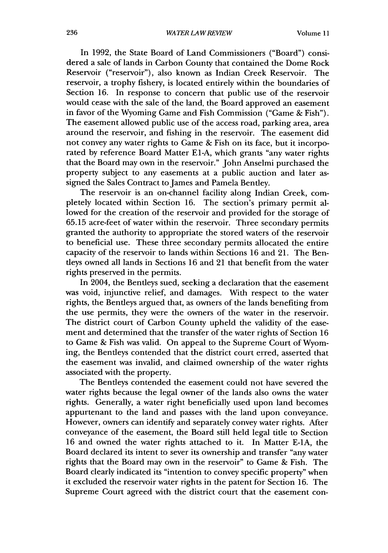In 1992, the State Board of Land Commissioners ("Board") considered a sale of lands in Carbon County that contained the Dome Rock Reservoir ("reservoir"), also known as Indian Creek Reservoir. The reservoir, a trophy fishery, is located entirely within the boundaries of Section **16.** In response to concern that public use of the reservoir would cease with the sale of the land, the Board approved an easement in favor of the Wyoming Game and Fish Commission ("Game & Fish"). The easement allowed public use of the access road, parking area, area around the reservoir, and fishing in the reservoir. The easement did not convey any water rights to Game & Fish on its face, but it incorporated by reference Board Matter El-A, which grants "any water rights that the Board may own in the reservoir." John Anselmi purchased the property subject to any easements at a public auction and later assigned the Sales Contract to James and Pamela Bentley.

The reservoir is an on-channel facility along Indian Creek, completely located within Section 16. The section's primary permit allowed for the creation of the reservoir and provided for the storage of 65.15 acre-feet of water within the reservoir. Three secondary permits granted the authority to appropriate the stored waters of the reservoir to beneficial use. These three secondary permits allocated the entire capacity of the reservoir to lands within Sections 16 and 21. The Bentleys owned all lands in Sections 16 and 21 that benefit from the water rights preserved in the permits.

In 2004, the Bentleys sued, seeking a declaration that the easement was void, injunctive relief, and damages. With respect to the water rights, the Bentleys argued that, as owners of the lands benefiting from the use permits, they were the owners of the water in the reservoir. The district court of Carbon County upheld the validity of the easement and determined that the transfer of the water rights of Section 16 to Game & Fish was valid. On appeal to the Supreme Court of Wyoming, the Bentleys contended that the district court erred, asserted that the easement was invalid, and claimed ownership of the water rights associated with the property.

The Bentleys contended the easement could not have severed the water rights because the legal owner of the lands also owns the water rights. Generally, a water right beneficially used upon land becomes appurtenant to the land and passes with the land upon conveyance. However, owners can identify and separately convey water rights. After conveyance of the easement, the Board still held legal title to Section 16 and owned the water rights attached to it. In Matter E-1A, the Board declared its intent to sever its ownership and transfer "any water rights that the Board may own in the reservoir" to Game & Fish. The Board clearly indicated its "intention to convey specific property" when it excluded the reservoir water rights in the patent for Section 16. The Supreme Court agreed with the district court that the easement con